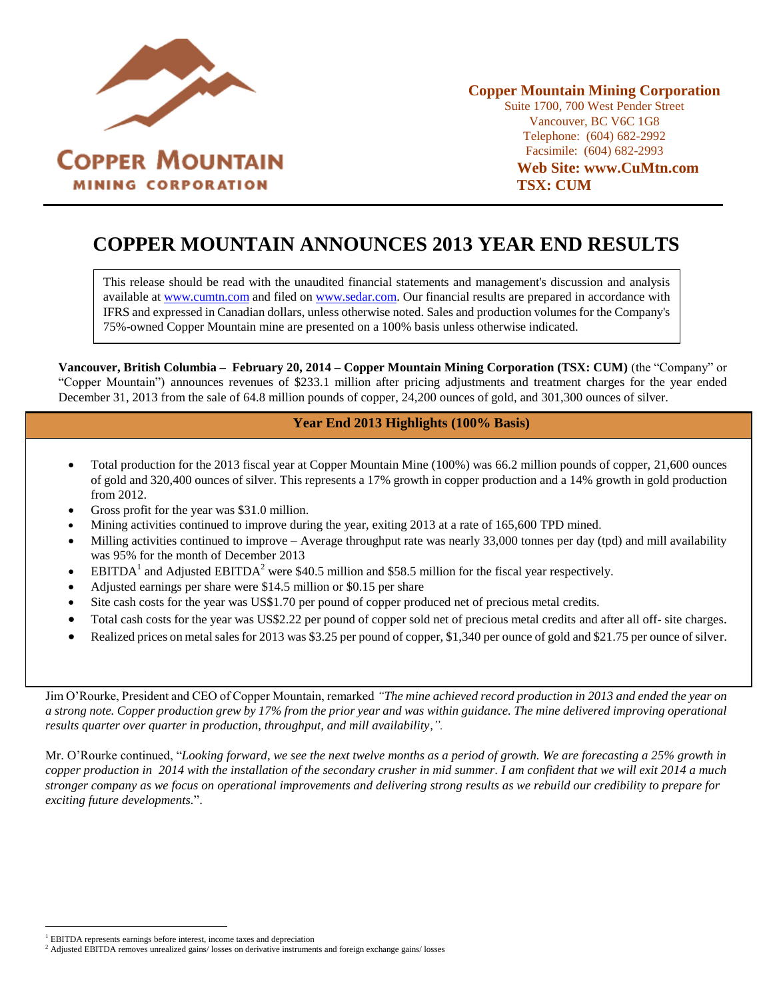

# **COPPER MOUNTAIN ANNOUNCES 2013 YEAR END RESULTS**

This release should be read with the unaudited financial statements and management's discussion and analysis available at [www.cumtn.com](http://www.cumtn.com/) and filed on [www.sedar.com.](http://www.sedar.com/) Our financial results are prepared in accordance with IFRS and expressed in Canadian dollars, unless otherwise noted. Sales and production volumes for the Company's 75%-owned Copper Mountain mine are presented on a 100% basis unless otherwise indicated.

**Vancouver, British Columbia – February 20, 2014 – Copper Mountain Mining Corporation (TSX: CUM)** (the "Company" or "Copper Mountain") announces revenues of \$233.1 million after pricing adjustments and treatment charges for the year ended December 31, 2013 from the sale of 64.8 million pounds of copper, 24,200 ounces of gold, and 301,300 ounces of silver.

## **Year End 2013 Highlights (100% Basis)**

- Total production for the 2013 fiscal year at Copper Mountain Mine (100%) was 66.2 million pounds of copper, 21,600 ounces of gold and 320,400 ounces of silver. This represents a 17% growth in copper production and a 14% growth in gold production from 2012.
- Gross profit for the year was \$31.0 million.
- Mining activities continued to improve during the year, exiting 2013 at a rate of 165,600 TPD mined.
- Milling activities continued to improve Average throughput rate was nearly 33,000 tonnes per day (tpd) and mill availability was 95% for the month of December 2013
- **EBITDA**<sup>1</sup> and Adjusted EBITDA<sup>2</sup> were \$40.5 million and \$58.5 million for the fiscal year respectively.
- Adjusted earnings per share were \$14.5 million or \$0.15 per share
- Site cash costs for the year was US\$1.70 per pound of copper produced net of precious metal credits.
- Total cash costs for the year was US\$2.22 per pound of copper sold net of precious metal credits and after all off- site charges.
- Realized prices on metal sales for 2013 was \$3.25 per pound of copper, \$1,340 per ounce of gold and \$21.75 per ounce of silver.

Jim O'Rourke, President and CEO of Copper Mountain, remarked *"The mine achieved record production in 2013 and ended the year on a strong note. Copper production grew by 17% from the prior year and was within guidance. The mine delivered improving operational results quarter over quarter in production, throughput, and mill availability,".*

Mr. O'Rourke continued, "*Looking forward, we see the next twelve months as a period of growth. We are forecasting a 25% growth in copper production in 2014 with the installation of the secondary crusher in mid summer. I am confident that we will exit 2014 a much stronger company as we focus on operational improvements and delivering strong results as we rebuild our credibility to prepare for exciting future developments.*".

 $\overline{a}$ 

<sup>&</sup>lt;sup>1</sup> EBITDA represents earnings before interest, income taxes and depreciation

<sup>&</sup>lt;sup>2</sup> Adjusted EBITDA removes unrealized gains/ losses on derivative instruments and foreign exchange gains/ losses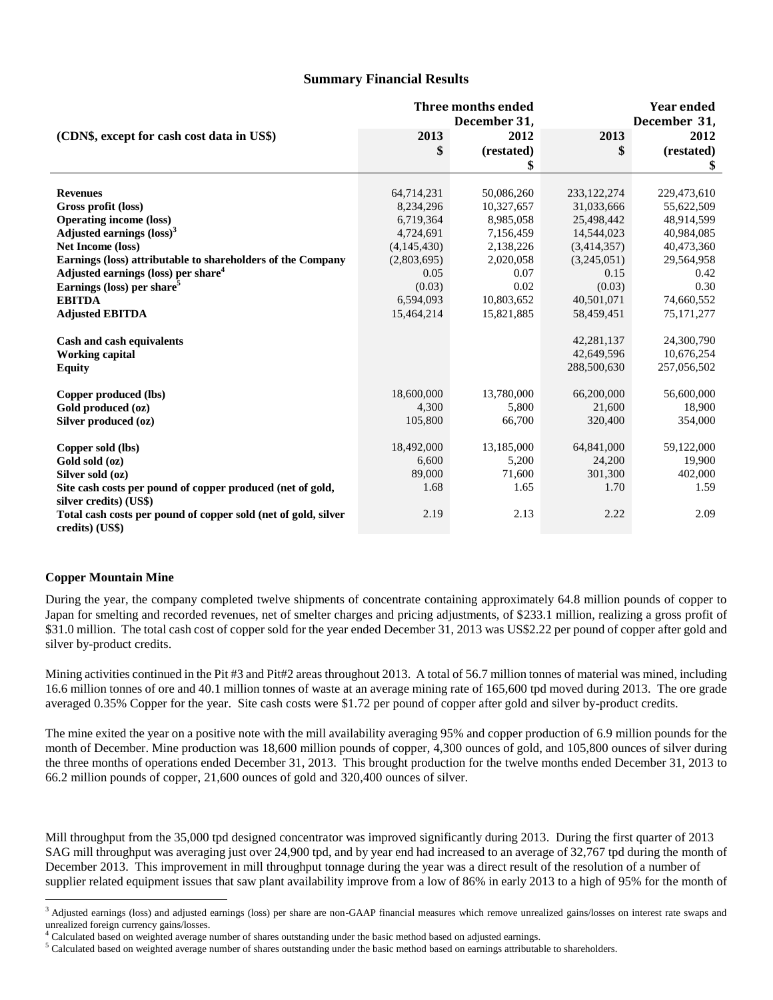## **Summary Financial Results**

|                                                                                   | Three months ended<br>December 31, |                 | <b>Year ended</b><br>December 31, |                   |
|-----------------------------------------------------------------------------------|------------------------------------|-----------------|-----------------------------------|-------------------|
| (CDN\$, except for cash cost data in US\$)                                        | 2013                               | 2012            | 2013                              | 2012              |
|                                                                                   | \$                                 | (restated)      |                                   | (restated)        |
|                                                                                   |                                    |                 |                                   | \$                |
|                                                                                   |                                    |                 |                                   |                   |
| <b>Revenues</b>                                                                   | 64,714,231                         | 50,086,260      | 233, 122, 274                     | 229,473,610       |
| Gross profit (loss)                                                               | 8,234,296                          | 10,327,657      | 31,033,666                        | 55,622,509        |
| <b>Operating income (loss)</b>                                                    | 6,719,364                          | 8,985,058       | 25,498,442                        | 48,914,599        |
| Adjusted earnings $(\text{loss})^3$                                               | 4,724,691                          | 7,156,459       | 14,544,023                        | 40,984,085        |
| <b>Net Income (loss)</b>                                                          | (4,145,430)                        | 2,138,226       | (3,414,357)                       | 40,473,360        |
| Earnings (loss) attributable to shareholders of the Company                       | (2,803,695)                        | 2,020,058       | (3,245,051)                       | 29,564,958        |
| Adjusted earnings (loss) per share <sup>4</sup>                                   | 0.05                               | 0.07            | 0.15                              | 0.42              |
| Earnings (loss) per share <sup>5</sup>                                            | (0.03)                             | 0.02            | (0.03)                            | 0.30              |
| <b>EBITDA</b>                                                                     | 6,594,093                          | 10,803,652      | 40,501,071                        | 74,660,552        |
| <b>Adjusted EBITDA</b>                                                            | 15,464,214                         | 15,821,885      | 58,459,451                        | 75,171,277        |
| Cash and cash equivalents                                                         |                                    |                 | 42,281,137                        | 24,300,790        |
| <b>Working capital</b>                                                            |                                    |                 | 42,649,596                        | 10,676,254        |
| <b>Equity</b>                                                                     |                                    |                 | 288,500,630                       | 257,056,502       |
|                                                                                   |                                    | 13,780,000      |                                   |                   |
| Copper produced (lbs)                                                             | 18,600,000                         |                 | 66,200,000                        | 56,600,000        |
| Gold produced (oz)                                                                | 4,300<br>105,800                   | 5,800<br>66,700 | 21,600<br>320,400                 | 18,900<br>354,000 |
| Silver produced (oz)                                                              |                                    |                 |                                   |                   |
| Copper sold (lbs)                                                                 | 18,492,000                         | 13,185,000      | 64,841,000                        | 59,122,000        |
| Gold sold (oz)                                                                    | 6,600                              | 5,200           | 24,200                            | 19,900            |
| Silver sold (oz)                                                                  | 89,000                             | 71,600          | 301,300                           | 402,000           |
| Site cash costs per pound of copper produced (net of gold,                        | 1.68                               | 1.65            | 1.70                              | 1.59              |
| silver credits) (US\$)                                                            |                                    |                 |                                   |                   |
| Total cash costs per pound of copper sold (net of gold, silver<br>credits) (US\$) | 2.19                               | 2.13            | 2.22                              | 2.09              |

## **Copper Mountain Mine**

 $\overline{a}$ 

During the year, the company completed twelve shipments of concentrate containing approximately 64.8 million pounds of copper to Japan for smelting and recorded revenues, net of smelter charges and pricing adjustments, of \$233.1 million, realizing a gross profit of \$31.0 million. The total cash cost of copper sold for the year ended December 31, 2013 was US\$2.22 per pound of copper after gold and silver by-product credits.

Mining activities continued in the Pit #3 and Pit#2 areas throughout 2013. A total of 56.7 million tonnes of material was mined, including 16.6 million tonnes of ore and 40.1 million tonnes of waste at an average mining rate of 165,600 tpd moved during 2013. The ore grade averaged 0.35% Copper for the year. Site cash costs were \$1.72 per pound of copper after gold and silver by-product credits.

The mine exited the year on a positive note with the mill availability averaging 95% and copper production of 6.9 million pounds for the month of December. Mine production was 18,600 million pounds of copper, 4,300 ounces of gold, and 105,800 ounces of silver during the three months of operations ended December 31, 2013. This brought production for the twelve months ended December 31, 2013 to 66.2 million pounds of copper, 21,600 ounces of gold and 320,400 ounces of silver.

Mill throughput from the 35,000 tpd designed concentrator was improved significantly during 2013. During the first quarter of 2013 SAG mill throughput was averaging just over 24,900 tpd, and by year end had increased to an average of 32,767 tpd during the month of December 2013. This improvement in mill throughput tonnage during the year was a direct result of the resolution of a number of supplier related equipment issues that saw plant availability improve from a low of 86% in early 2013 to a high of 95% for the month of

<sup>&</sup>lt;sup>3</sup> Adjusted earnings (loss) and adjusted earnings (loss) per share are non-GAAP financial measures which remove unrealized gains/losses on interest rate swaps and unrealized foreign currency gains/losses.

<sup>4</sup> Calculated based on weighted average number of shares outstanding under the basic method based on adjusted earnings.

 $<sup>5</sup>$  Calculated based on weighted average number of shares outstanding under the basic method based on earnings attributable to shareholders.</sup>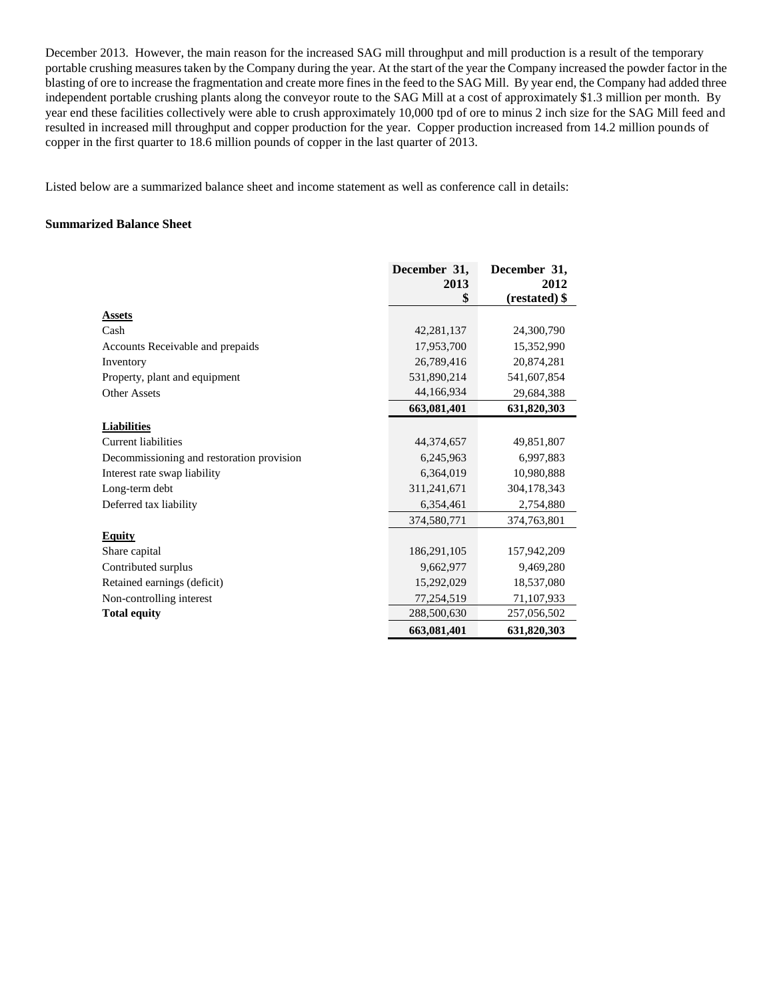December 2013. However, the main reason for the increased SAG mill throughput and mill production is a result of the temporary portable crushing measures taken by the Company during the year. At the start of the year the Company increased the powder factor in the blasting of ore to increase the fragmentation and create more fines in the feed to the SAG Mill. By year end, the Company had added three independent portable crushing plants along the conveyor route to the SAG Mill at a cost of approximately \$1.3 million per month. By year end these facilities collectively were able to crush approximately 10,000 tpd of ore to minus 2 inch size for the SAG Mill feed and resulted in increased mill throughput and copper production for the year. Copper production increased from 14.2 million pounds of copper in the first quarter to 18.6 million pounds of copper in the last quarter of 2013.

Listed below are a summarized balance sheet and income statement as well as conference call in details:

#### **Summarized Balance Sheet**

|                                           | December 31, | December 31,  |
|-------------------------------------------|--------------|---------------|
|                                           | 2013         | 2012          |
|                                           | \$           | (restated) \$ |
| <b>Assets</b>                             |              |               |
| Cash                                      | 42,281,137   | 24,300,790    |
| Accounts Receivable and prepaids          | 17,953,700   | 15,352,990    |
| Inventory                                 | 26,789,416   | 20,874,281    |
| Property, plant and equipment             | 531,890,214  | 541,607,854   |
| Other Assets                              | 44,166,934   | 29,684,388    |
|                                           | 663,081,401  | 631,820,303   |
| <b>Liabilities</b>                        |              |               |
| Current liabilities                       | 44,374,657   | 49,851,807    |
| Decommissioning and restoration provision | 6,245,963    | 6,997,883     |
| Interest rate swap liability              | 6,364,019    | 10,980,888    |
| Long-term debt                            | 311,241,671  | 304,178,343   |
| Deferred tax liability                    | 6,354,461    | 2,754,880     |
|                                           | 374,580,771  | 374,763,801   |
| <b>Equity</b>                             |              |               |
| Share capital                             | 186,291,105  | 157,942,209   |
| Contributed surplus                       | 9,662,977    | 9,469,280     |
| Retained earnings (deficit)               | 15,292,029   | 18,537,080    |
| Non-controlling interest                  | 77,254,519   | 71,107,933    |
| <b>Total equity</b>                       | 288,500,630  | 257,056,502   |
|                                           | 663,081,401  | 631,820,303   |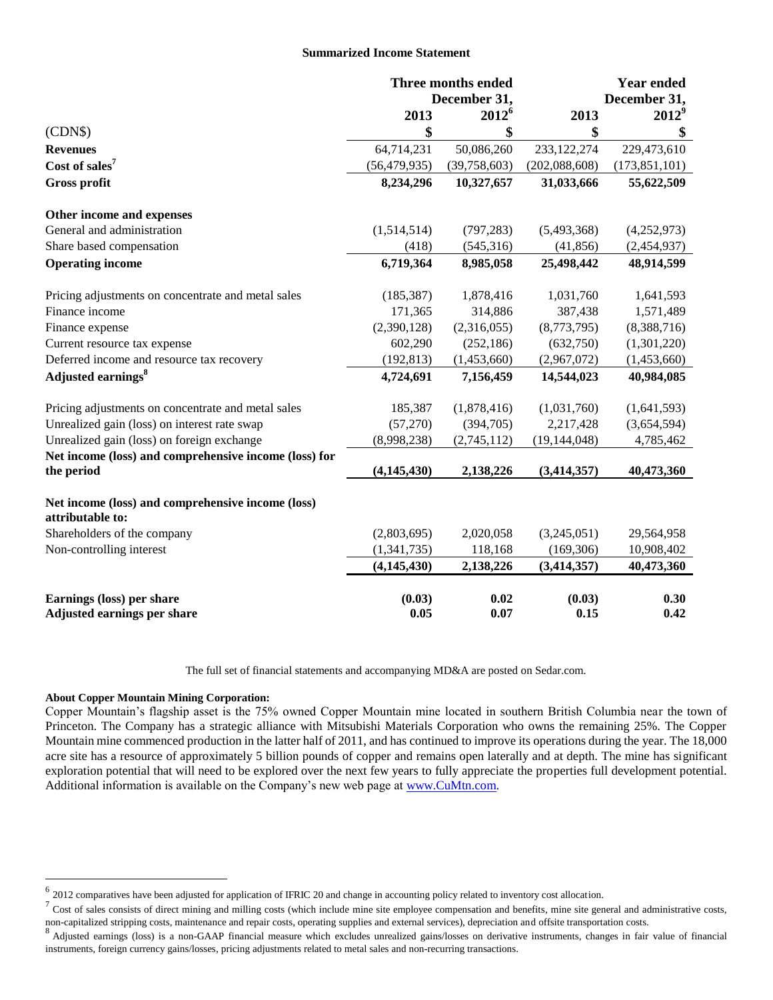#### **Summarized Income Statement**

|                                                                       | <b>Three months ended</b><br>December 31, |                | <b>Year ended</b> |                 |
|-----------------------------------------------------------------------|-------------------------------------------|----------------|-------------------|-----------------|
|                                                                       |                                           |                |                   | December 31,    |
|                                                                       | 2013                                      | $2012^6$       | 2013              | $2012^9$        |
| (CDN\$)                                                               | \$                                        | \$             | \$                | \$              |
| <b>Revenues</b>                                                       | 64,714,231                                | 50,086,260     | 233,122,274       | 229,473,610     |
| Cost of sales <sup>7</sup>                                            | (56, 479, 935)                            | (39, 758, 603) | (202, 088, 608)   | (173, 851, 101) |
| Gross profit                                                          | 8,234,296                                 | 10,327,657     | 31,033,666        | 55,622,509      |
| Other income and expenses                                             |                                           |                |                   |                 |
| General and administration                                            | (1,514,514)                               | (797, 283)     | (5,493,368)       | (4,252,973)     |
| Share based compensation                                              | (418)                                     | (545,316)      | (41, 856)         | (2,454,937)     |
| <b>Operating income</b>                                               | 6,719,364                                 | 8,985,058      | 25,498,442        | 48,914,599      |
| Pricing adjustments on concentrate and metal sales                    | (185, 387)                                | 1,878,416      | 1,031,760         | 1,641,593       |
| Finance income                                                        | 171,365                                   | 314,886        | 387,438           | 1,571,489       |
| Finance expense                                                       | (2,390,128)                               | (2,316,055)    | (8,773,795)       | (8,388,716)     |
| Current resource tax expense                                          | 602,290                                   | (252, 186)     | (632,750)         | (1,301,220)     |
| Deferred income and resource tax recovery                             | (192, 813)                                | (1,453,660)    | (2,967,072)       | (1,453,660)     |
| Adjusted earnings <sup>8</sup>                                        | 4,724,691                                 | 7,156,459      | 14,544,023        | 40,984,085      |
| Pricing adjustments on concentrate and metal sales                    | 185,387                                   | (1,878,416)    | (1,031,760)       | (1,641,593)     |
| Unrealized gain (loss) on interest rate swap                          | (57,270)                                  | (394,705)      | 2,217,428         | (3,654,594)     |
| Unrealized gain (loss) on foreign exchange                            | (8,998,238)                               | (2,745,112)    | (19, 144, 048)    | 4,785,462       |
| Net income (loss) and comprehensive income (loss) for                 |                                           |                |                   |                 |
| the period                                                            | (4, 145, 430)                             | 2,138,226      | (3, 414, 357)     | 40,473,360      |
| Net income (loss) and comprehensive income (loss)<br>attributable to: |                                           |                |                   |                 |
| Shareholders of the company                                           | (2,803,695)                               | 2,020,058      | (3,245,051)       | 29,564,958      |
| Non-controlling interest                                              | (1,341,735)                               | 118,168        | (169, 306)        | 10,908,402      |
|                                                                       | (4, 145, 430)                             | 2,138,226      | (3, 414, 357)     | 40,473,360      |
| Earnings (loss) per share                                             | (0.03)                                    | 0.02           | (0.03)            | 0.30            |
| Adjusted earnings per share                                           | 0.05                                      | 0.07           | 0.15              | 0.42            |

The full set of financial statements and accompanying MD&A are posted on Sedar.com.

#### **About Copper Mountain Mining Corporation:**

 $\overline{a}$ 

Copper Mountain's flagship asset is the 75% owned Copper Mountain mine located in southern British Columbia near the town of Princeton. The Company has a strategic alliance with Mitsubishi Materials Corporation who owns the remaining 25%. The Copper Mountain mine commenced production in the latter half of 2011, and has continued to improve its operations during the year. The 18,000 acre site has a resource of approximately 5 billion pounds of copper and remains open laterally and at depth. The mine has significant exploration potential that will need to be explored over the next few years to fully appreciate the properties full development potential. Additional information is available on the Company's new web page at [www.CuMtn.com.](file://tsclient/E/www.CuMtn.com)

 $^6$  2012 comparatives have been adjusted for application of IFRIC 20 and change in accounting policy related to inventory cost allocation.

 $^7$  Cost of sales consists of direct mining and milling costs (which include mine site employee compensation and benefits, mine site general and administrative costs, non-capitalized stripping costs, maintenance and repair costs, operating supplies and external services), depreciation and offsite transportation costs.

<sup>&</sup>lt;sup>8</sup> Adjusted earnings (loss) is a non-GAAP financial measure which excludes unrealized gains/losses on derivative instruments, changes in fair value of financial instruments, foreign currency gains/losses, pricing adjustments related to metal sales and non-recurring transactions.